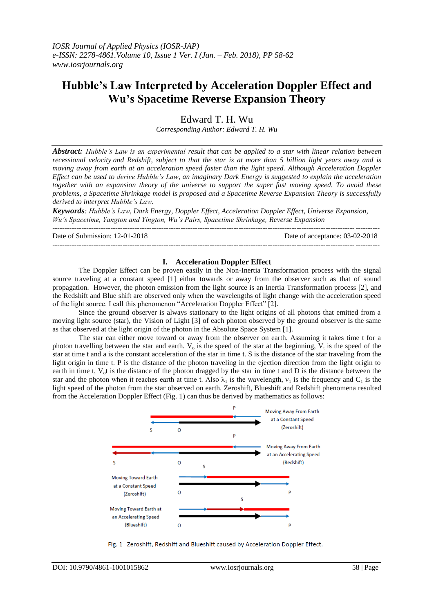# **Hubble's Law Interpreted by Acceleration Doppler Effect and Wu's Spacetime Reverse Expansion Theory**

Edward T. H. Wu

*Corresponding Author: Edward T. H. Wu*

*Abstract: Hubble's Law is an experimental result that can be applied to a star with linear relation between [recessional velocity](https://en.wikipedia.org/wiki/Recessional_velocity) and Redshift, subject to that the star is at more than 5 billion light years away and is moving away from earth at an acceleration speed faster than the light speed. Although Acceleration Doppler Effect can be used to derive Hubble's Law, an imaginary Dark Energy is suggested to explain the acceleration together with an expansion theory of the universe to support the super fast moving speed. To avoid these problems, a Spacetime Shrinkage model is proposed and a Spacetime Reverse Expansion Theory is successfully derived to interpret Hubble's Law.* 

*Keywords: Hubble's Law, Dark Energy, Doppler Effect, Acceleration Doppler Effect, Universe Expansion, Wu's Spacetime, Yangton and Yington, Wu's Pairs, Spacetime Shrinkage, Reverse Expansion* ---------------------------------------------------------------------------------------------------------------------------------------

---------------------------------------------------------------------------------------------------------------------------------------

Date of Submission: 12-01-2018 Date of acceptance: 03-02-2018

## **I. Acceleration Doppler Effect**

The Doppler Effect can be proven easily in the Non-Inertia Transformation process with the signal source traveling at a constant speed [1] either towards or away from the observer such as that of sound propagation. However, the photon emission from the light source is an Inertia Transformation process [2], and the Redshift and Blue shift are observed only when the wavelengths of light change with the acceleration speed of the light source. I call this phenomenon "Acceleration Doppler Effect" [2].

Since the ground observer is always stationary to the light origins of all photons that emitted from a moving light source (star), the Vision of Light [3] of each photon observed by the ground observer is the same as that observed at the light origin of the photon in the Absolute Space System [1].

The star can either move toward or away from the observer on earth. Assuming it takes time t for a photon travelling between the star and earth.  $V_0$  is the speed of the star at the beginning,  $V_t$  is the speed of the star at time t and a is the constant acceleration of the star in time t. S is the distance of the star traveling from the light origin in time t. P is the distance of the photon traveling in the ejection direction from the light origin to earth in time t,  $V_0t$  is the distance of the photon dragged by the star in time t and D is the distance between the star and the photon when it reaches earth at time t. Also  $\lambda_1$  is the wavelength,  $v_1$  is the frequency and C<sub>1</sub> is the light speed of the photon from the star observed on earth. Zeroshift, Blueshift and Redshift phenomena resulted from the Acceleration Doppler Effect (Fig. 1) can thus be derived by mathematics as follows:



Fig. 1 Zeroshift, Redshift and Blueshift caused by Acceleration Doppler Effect.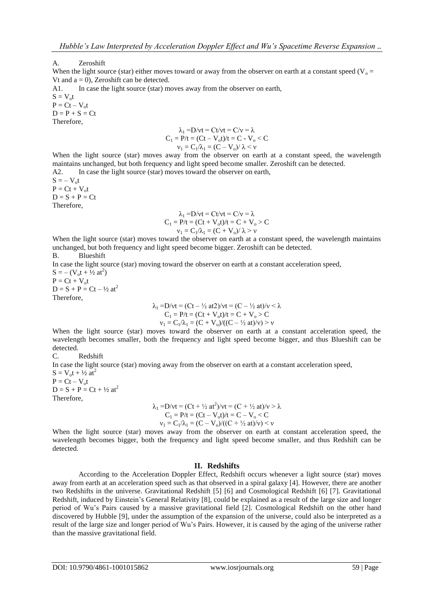# A. Zeroshift

When the light source (star) either moves toward or away from the observer on earth at a constant speed ( $V_0$  = Vt and  $a = 0$ ), Zeroshift can be detected.

A1. In case the light source (star) moves away from the observer on earth,

 $S = V_0 t$ 

 $P = Ct - V_0t$  $D = P + S = Ct$ 

Therefore,

$$
\begin{array}{c}\lambda_1 = D/vt = Ct/vt = C/v = \lambda\\ C_1 = P/t = (Ct - V_0t)/t = C - V_0 < C\\ v_1 = C_1/\lambda_1 = (C - V_0)/\lambda < v\end{array}
$$

When the light source (star) moves away from the observer on earth at a constant speed, the wavelength maintains unchanged, but both frequency and light speed become smaller. Zeroshift can be detected. A2. In case the light source (star) moves toward the observer on earth,

 $S = -V_0t$  $P = Ct + V_0t$  $D = S + P = Ct$ Therefore,

$$
\lambda_1 = D/vt = Ct/vt = C/v = \lambda
$$
  
\n
$$
C_1 = P/t = (Ct + V_0t)/t = C + V_0 > C
$$
  
\n
$$
v_1 = C_1/\lambda_1 = (C + V_0)/\lambda > v
$$

When the light source (star) moves toward the observer on earth at a constant speed, the wavelength maintains unchanged, but both frequency and light speed become bigger. Zeroshift can be detected. B. Blueshift

In case the light source (star) moving toward the observer on earth at a constant acceleration speed,  $S = - (V_0 t + \frac{1}{2} at^2)$  $P = Ct + V_0t$  $D = S + P = Ct - \frac{1}{2}at^2$ Therefore,  $λ_1 = D/vt = (Ct - \frac{1}{2}at2)/vt = (C - \frac{1}{2}at)/v < λ$ 

$$
C_1 = P/t = (Ct + V_0t)/t = C + V_0 > C
$$
  

$$
v_1 = C_1/\lambda_1 = (C + V_0)/((C - \frac{1}{2}at)/v) > v
$$

When the light source (star) moves toward the observer on earth at a constant acceleration speed, the wavelength becomes smaller, both the frequency and light speed become bigger, and thus Blueshift can be detected.

C. Redshift In case the light source (star) moving away from the observer on earth at a constant acceleration speed,  $S = V_0 t + \frac{1}{2} at^2$  $P = Ct - V_0t$  $D = S + P = Ct + \frac{1}{2}at^2$ Therefore,  $\lambda_1 = D/vt = (Ct + \frac{1}{2}at^2)/vt = (C + \frac{1}{2}at)/v > \lambda$ 

$$
C_1 = P/t = (Ct - V_0t)/t = C - V_0 < C
$$
  
\n
$$
v_1 = C_1/\lambda_1 = (C - V_0)/((C + \frac{1}{2}at)/v) < v
$$

When the light source (star) moves away from the observer on earth at constant acceleration speed, the wavelength becomes bigger, both the frequency and light speed become smaller, and thus Redshift can be detected.

# **II. Redshifts**

According to the Acceleration Doppler Effect, Redshift occurs whenever a light source (star) moves away from earth at an acceleration speed such as that observed in a spiral galaxy [4]. However, there are another two Redshifts in the universe. Gravitational Redshift [5] [6] and Cosmological Redshift [6] [7]. Gravitational Redshift, induced by Einstein's General Relativity [8], could be explained as a result of the large size and longer period of Wu's Pairs caused by a massive gravitational field [2]. Cosmological Redshift on the other hand discovered by Hubble [9], under the assumption of the expansion of the universe, could also be interpreted as a result of the large size and longer period of Wu's Pairs. However, it is caused by the aging of the universe rather than the massive gravitational field.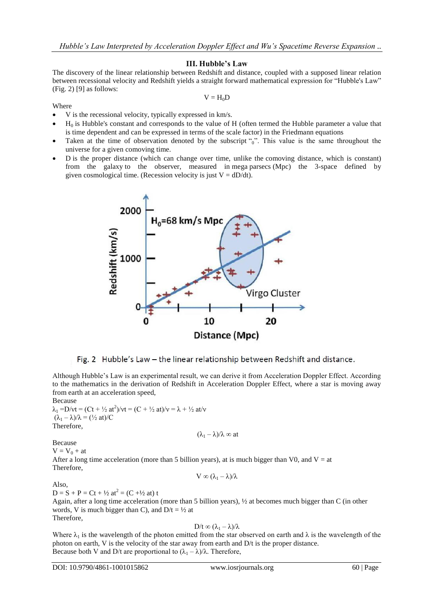# **III. Hubble's Law**

The discovery of the linear relationship between [Redshift](https://en.wikipedia.org/wiki/Redshift) and distance, coupled with a supposed linear relation between [recessional velocity](https://en.wikipedia.org/wiki/Recessional_velocity) and Redshift yields a straight forward mathematical expression for "Hubble's Law" (Fig. 2) [9] as follows:

 $V = H_0D$ 

#### Where

- V is the recessional velocity, typically expressed in km/s.
- $H<sub>0</sub>$  is Hubble's constant and corresponds to the value of H (often termed the Hubble parameter a value that is [time dependent](https://en.wikipedia.org/wiki/Time-variant_system) and can be expressed in terms of the [scale factor\)](https://en.wikipedia.org/wiki/Scale_factor_(cosmology)) in the Friedmann equations
- Taken at the time of observation denoted by the subscript " $\alpha$ ". This value is the same throughout the universe for a given [comoving time.](https://en.wikipedia.org/wiki/Comoving_time#Comoving_coordinates)
- D is the proper distance (which can change over time, unlike the [comoving distance,](https://en.wikipedia.org/wiki/Comoving_distance) which is constant) from the [galaxy](https://en.wikipedia.org/wiki/Galaxy) to the observer, measured in [mega](https://en.wikipedia.org/wiki/Mega-) [parsecs](https://en.wikipedia.org/wiki/Parsec) (Mpc) the 3-space defined by given [cosmological time.](https://en.wikipedia.org/wiki/Cosmological_time) (Recession velocity is just  $V = dD/dt$ ).



Fig. 2 Hubble's Law - the linear relationship between Redshift and distance.

Although Hubble's Law is an experimental result, we can derive it from Acceleration Doppler Effect. According to the mathematics in the derivation of Redshift in Acceleration Doppler Effect, where a star is moving away from earth at an acceleration speed,

Because

 $\lambda_1 = D/vt = (Ct + \frac{1}{2}at^2)/vt = (C + \frac{1}{2}at)/v = \lambda + \frac{1}{2}at/v$  $(\lambda_1 - \lambda)/\lambda = (\frac{1}{2} \text{ at})/C$ Therefore,

 $(\lambda_1 - \lambda)/\lambda \infty$  at

Because

 $V = V_0 + at$ 

After a long time acceleration (more than 5 billion years), at is much bigger than V0, and V = at Therefore,

 $V \propto (\lambda_1 - \lambda)/\lambda$ 

Also,

 $D = S + P = Ct + \frac{1}{2}at^2 = (C + \frac{1}{2}at)t$ 

Again, after a long time acceleration (more than 5 billion years), ½ at becomes much bigger than C (in other words, V is much bigger than C), and  $D/t = \frac{1}{2}$  at

Therefore,

$$
D/t \infty (\lambda_1 - \lambda)/\lambda
$$

Where  $\lambda_1$  is the wavelength of the photon emitted from the star observed on earth and  $\lambda$  is the wavelength of the photon on earth, V is the velocity of the star away from earth and  $D/t$  is the proper distance. Because both V and D/t are proportional to  $(\lambda_1 - \lambda)/\lambda$ . Therefore,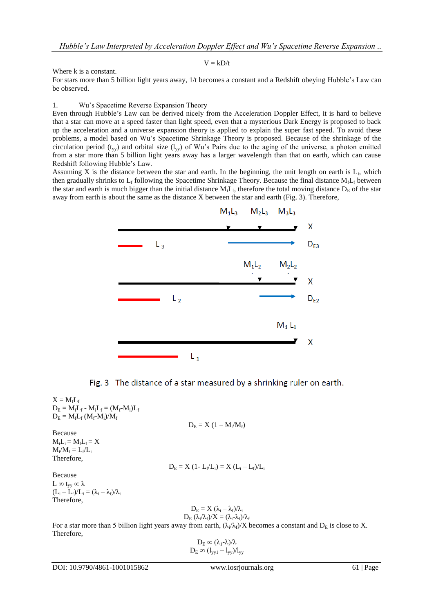$V = kD/t$ 

Where k is a constant.

For stars more than 5 billion light years away, 1/t becomes a constant and a Redshift obeying Hubble's Law can be observed.

## 1. Wu's Spacetime Reverse Expansion Theory

Even through Hubble's Law can be derived nicely from the Acceleration Doppler Effect, it is hard to believe that a star can move at a speed faster than light speed, even that a mysterious Dark Energy is proposed to back up the acceleration and a universe expansion theory is applied to explain the super fast speed. To avoid these problems, a model based on Wu's Spacetime Shrinkage Theory is proposed. Because of the shrinkage of the circulation period ( $t_{yy}$ ) and orbital size ( $l_{yy}$ ) of Wu's Pairs due to the aging of the universe, a photon emitted from a star more than 5 billion light years away has a larger wavelength than that on earth, which can cause Redshift following Hubble's Law.

Assuming X is the distance between the star and earth. In the beginning, the unit length on earth is  $L_i$ , which then gradually shrinks to  $L_f$  following the Spacetime Shrinkage Theory. Because the final distance  $M_fL_f$  between the star and earth is much bigger than the initial distance  $M_iL_f$ , therefore the total moving distance  $D_E$  of the star away from earth is about the same as the distance X between the star and earth (Fig. 3). Therefore,



Fig. 3 The distance of a star measured by a shrinking ruler on earth.

 $X = M_fL_f$  $D_E = M_f L_f - M_i L_f = (M_f \text{-} M_i) L_f$  $D_E = M_f L_f (M_f - M_i)/M_f$ 

$$
D_E=X\ (1-M_i/M_f)
$$

Because  $M_iL_i = M_fL_f = X$  $M_i/M_f = L_f/L_i$ Therefore,

$$
D_E = X (1 - L_f/L_i) = X (L_i - L_f)/L_i
$$

Because  $L\varpropto t_{vv}\varpropto\lambda$  $(L_i - L_f)/L_i = (\lambda_i - \lambda_f)/\lambda_i$ Therefore,

$$
\begin{array}{c} D_E=X\;(\lambda_i\!-\!\lambda_f)/\lambda_i\\ D_E\; (\lambda_i/\lambda_f)/X=(\lambda_i\text{-}\lambda_f)/\lambda_f \end{array}
$$

For a star more than 5 billion light years away from earth,  $(\lambda_i/\lambda_f)/X$  becomes a constant and  $D_E$  is close to X. Therefore,

$$
\begin{gathered} D_E \propto (\lambda_1\text{-}\lambda)/\lambda\\ D_E \propto (l_{yy1}-l_{yy})/l_{yy} \end{gathered}
$$